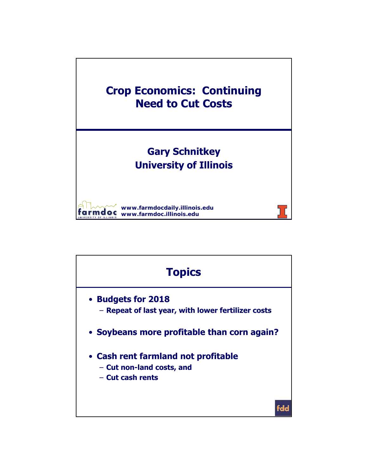

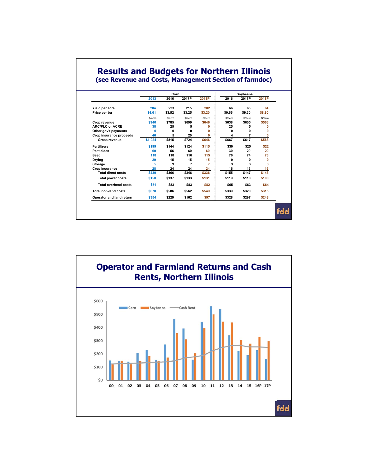|  | <b>Results and Budgets for Northern Illinois</b>                                                                                                                                                                                                                                                                                                                                     |  |  |
|--|--------------------------------------------------------------------------------------------------------------------------------------------------------------------------------------------------------------------------------------------------------------------------------------------------------------------------------------------------------------------------------------|--|--|
|  | $(1)$ $\alpha$ $\alpha$ $\beta$ $\alpha$ $\alpha$ $\beta$ $\alpha$ $\beta$ $\alpha$ $\beta$ $\alpha$ $\beta$ $\alpha$ $\beta$ $\alpha$ $\beta$ $\alpha$ $\beta$ $\alpha$ $\beta$ $\alpha$ $\beta$ $\alpha$ $\beta$ $\alpha$ $\beta$ $\alpha$ $\beta$ $\alpha$ $\beta$ $\alpha$ $\beta$ $\alpha$ $\beta$ $\alpha$ $\beta$ $\alpha$ $\beta$ $\alpha$ $\beta$ $\alpha$ $\beta$ $\alpha$ |  |  |

**(see Revenue and Costs, Management Section of farmdoc)**

|                             | Corn                 |         |                      |         | Soybeans |         |                      |
|-----------------------------|----------------------|---------|----------------------|---------|----------|---------|----------------------|
|                             | 2013                 | 2016    | 2017P                | 2018P   | 2016     | 2017P   | 2018P                |
| Yield per acre              | 204                  | 223     | 215                  | 202     | 66       | 65      | 64                   |
| Price per bu                | \$4.61               | \$3.52  | \$3.25               | \$3.20  | \$9.66   | \$9.30  | \$8.80               |
|                             | <i><b>S/acre</b></i> | \$/acre | <i><b>S/acre</b></i> | \$/acre | \$/acre  | \$/acre | <i><b>S/acre</b></i> |
| Crop revenue                | \$940                | \$785   | \$699                | \$646   | \$638    | \$605   | \$563                |
| <b>ARC/PLC or ACRE</b>      | 38                   | 25      | 5                    | 0       | 25       | 5       | 0                    |
| Other gov't payments        | O                    | 0       | O                    | 0       | 0        | 0       | O                    |
| Crop insurance proceeds     | 46                   | 5       | 20                   | 0       | 4        | 7       | 0                    |
| Gross revenue               | \$1,024              | \$815   | \$724                | \$646   | \$667    | \$617   | \$563                |
| <b>Fertilizers</b>          | \$199                | \$144   | \$124                | \$115   | \$30     | \$25    | \$22                 |
| <b>Pesticides</b>           | 60                   | 56      | 60                   | 60      | 30       | 29      | 29                   |
| Seed                        | 118                  | 118     | 116                  | 115     | 76       | 74      | 73                   |
| <b>Drying</b>               | 29                   | 15      | 15                   | 15      | 0        | 0       | 0                    |
| Storage                     | 5                    | 9       | $\overline{7}$       | 7       | 3        | 3       | 3                    |
| Crop insurance              | 28                   | 24      | 24                   | 24      | 16       | 16      | 16                   |
| <b>Total direct costs</b>   | \$439                | \$366   | \$346                | \$336   | \$155    | \$147   | \$143                |
| <b>Total power costs</b>    | \$150                | \$137   | \$133                | \$131   | \$119    | \$110   | \$108                |
| <b>Total overhead costs</b> | \$81                 | \$83    | \$83                 | \$82    | \$65     | \$63    | \$64                 |
| <b>Total non-land costs</b> | \$670                | \$586   | \$562                | \$549   | \$339    | \$320   | \$315                |
| Operator and land return    | \$354                | \$229   | \$162                | \$97    | \$328    | \$297   | \$248                |

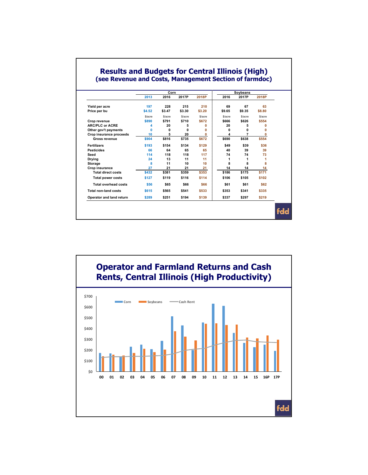|                             | Corn    |         |         |         |         |                   |         |  |
|-----------------------------|---------|---------|---------|---------|---------|-------------------|---------|--|
|                             | 2013    | 2016    | 2017P   | 2018P   | 2016    | Soybeans<br>2017P | 2018P   |  |
| Yield per acre              | 197     | 228     | 215     | 210     | 69      | 67                | 63      |  |
| Price per bu                | \$4.52  | \$3.47  | \$3.30  | \$3.20  | \$9.65  | \$9.35            | \$8.80  |  |
|                             | \$/acre | \$/acre | \$/acre | \$/acre | \$/acre | \$/acre           | \$/acre |  |
| Crop revenue                | \$890   | \$791   | \$710   | \$672   | \$666   | \$626             | \$554   |  |
| <b>ARC/PLC or ACRE</b>      | 4       | 20      | 5       | O       | 20      | 5                 | O       |  |
| Other gov't payments        | O       | 0       | 0       | 0       | 0       | O                 | O       |  |
| Crop insurance proceeds     | 10      | 5       | 20      | 0       | 4       | 7                 | 0       |  |
| Gross revenue               | \$904   | \$816   | \$735   | \$672   | \$690   | \$638             | \$554   |  |
| <b>Fertilizers</b>          | \$193   | \$154   | \$134   | \$129   | \$49    | \$39              | \$36    |  |
| <b>Pesticides</b>           | 66      | 64      | 65      | 65      | 40      | 39                | 39      |  |
| Seed                        | 114     | 118     | 118     | 117     | 74      | 74                | 73      |  |
| Drying                      | 24      | 13      | 11      | 11      | 1       | 1                 | 1       |  |
| Storage                     | 8       | 11      | 10      | 10      | 8       | 8                 | 8       |  |
| Crop insurance              | 27      | 21      | 21      | 21      | 14      | 14                | 14      |  |
| <b>Total direct costs</b>   | \$432   | \$381   | \$359   | \$353   | \$186   | \$175             | \$171   |  |
| <b>Total power costs</b>    | \$127   | \$119   | \$116   | \$114   | \$106   | \$105             | \$102   |  |
| <b>Total overhead costs</b> | \$56    | \$65    | \$66    | \$66    | \$61    | \$61              | \$62    |  |
| <b>Total non-land costs</b> | \$615   | \$565   | \$541   | \$533   | \$353   | \$341             | \$335   |  |
| Operator and land return    | \$289   | \$251   | \$194   | \$139   | \$337   | \$297             | \$219   |  |

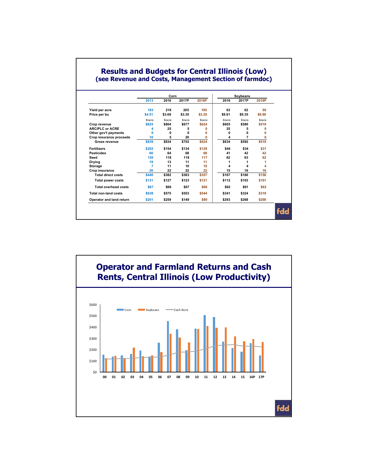|                             | 2013    | Corn<br>2016 | 2017P   | 2018P   | 2016    | Soybeans<br>2017P | 2018P   |  |
|-----------------------------|---------|--------------|---------|---------|---------|-------------------|---------|--|
|                             |         |              |         |         |         |                   |         |  |
| Yield per acre              | 183     | 218          | 205     | 195     | 63      | 62                | 59      |  |
| Price per bu                | \$4.51  | \$3.69       | \$3.30  | \$3.20  | \$9.61  | \$9.35            | \$8.80  |  |
|                             | \$/acre | \$/acre      | \$/acre | \$/acre | \$/acre | \$/acre           | \$/acre |  |
| Crop revenue                | \$825   | \$804        | \$677   | \$624   | \$605   | \$580             | \$519   |  |
| <b>ARC/PLC or ACRE</b>      | 4       | 25           | 5       | O       | 25      | 5                 | 0       |  |
| Other gov't payments        | O       | 0            | O       | 0       | n       | O                 | O       |  |
| Crop insurance proceeds     | 10      | 5            | 20      | 0       | 4       | 7                 | 0       |  |
| <b>Gross revenue</b>        | \$839   | \$834        | \$702   | \$624   | \$634   | \$592             | \$519   |  |
| <b>Fertilizers</b>          | \$202   | \$154        | \$134   | \$129   | \$44    | \$34              | \$31    |  |
| <b>Pesticides</b>           | 66      | 64           | 68      | 68      | 41      | 42                | 42      |  |
| Seed                        | 120     | 118          | 118     | 117     | 62      | 63                | 62      |  |
| Drying                      | 19      | 13           | 11      | 11      | 1       | 1                 | 1       |  |
| <b>Storage</b>              | 7       | 11           | 10      | 10      | 4       | 4                 | 4       |  |
| Crop insurance              | 26      | 22           | 22      | 22      | 15      | 16                | 16      |  |
| <b>Total direct costs</b>   | \$440   | \$382        | \$363   | \$357   | \$167   | \$160             | \$156   |  |
| <b>Total power costs</b>    | \$131   | \$127        | \$123   | \$121   | \$112   | \$103             | \$101   |  |
| <b>Total overhead costs</b> | \$67    | \$66         | \$67    | \$66    | \$62    | \$61              | \$62    |  |
| <b>Total non-land costs</b> | \$638   | \$575        | \$553   | \$544   | \$341   | \$324             | \$319   |  |
| Operator and land return    | \$201   | \$259        | \$149   | \$80    | \$293   | \$268             | \$200   |  |

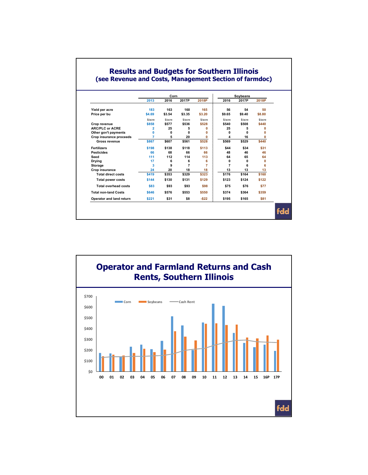|                             | 2013           | Corn<br>2016 | 2017P          | 2018P                | 2016           | Soybeans<br>2017P | 2018P   |  |
|-----------------------------|----------------|--------------|----------------|----------------------|----------------|-------------------|---------|--|
|                             |                |              |                |                      |                |                   |         |  |
| Yield per acre              | 183            | 163          | 160            | 165                  | 56             | 54                | 50      |  |
| Price per bu                | \$4.69         | \$3.54       | \$3.35         | \$3.20               | \$9.65         | \$9.40            | \$8.80  |  |
|                             | \$/acre        | \$/acre      | \$/acre        | <i><b>S/acre</b></i> | \$/acre        | \$/acre           | \$/acre |  |
| Crop revenue                | \$858          | \$577        | \$536          | \$528                | \$540          | \$508             | \$440   |  |
| <b>ARC/PLC or ACRE</b>      | 2              | 25           | 5              | O                    | 25             | 5                 | 0       |  |
| Other gov't payments        | $\Omega$       | 0            | O              | O                    | O              | O                 | O       |  |
| Crop insurance proceeds     | $\overline{7}$ | 5            | 20             | 0                    | 4              | 16                | 0       |  |
| Gross revenue               | \$867          | \$607        | \$561          | \$528                | \$569          | \$529             | \$440   |  |
| <b>Fertilizers</b>          | \$198          | \$138        | \$118          | \$113                | \$44           | \$34              | \$31    |  |
| <b>Pesticides</b>           | 66             | 68           | 66             | 66                   | 48             | 46                | 46      |  |
| Seed                        | 111            | 112          | 114            | 113                  | 64             | 65                | 64      |  |
| <b>Drying</b>               | 17             | 6            | 6              | 6                    | 0              | 0                 | 0       |  |
| <b>Storage</b>              | 3              | 9            | $\overline{7}$ | 7                    | $\overline{7}$ | 6                 | 6       |  |
| Crop insurance              | 24             | 20           | 18             | 18                   | 13             | 13                | 13      |  |
| <b>Total direct costs</b>   | \$419          | \$353        | \$329          | \$323                | \$176          | \$164             | \$160   |  |
| <b>Total power costs</b>    | \$144          | \$130        | \$131          | \$129                | \$123          | \$124             | \$122   |  |
| <b>Total overhead costs</b> | \$83           | \$93         | \$93           | \$98                 | \$75           | \$76              | \$77    |  |
| <b>Total non-land Costs</b> | \$646          | \$576        | \$553          | \$550                | \$374          | \$364             | \$359   |  |
| Operator and land return    | \$221          | \$31         | \$8            | $-522$               | \$195          | \$165             | \$81    |  |

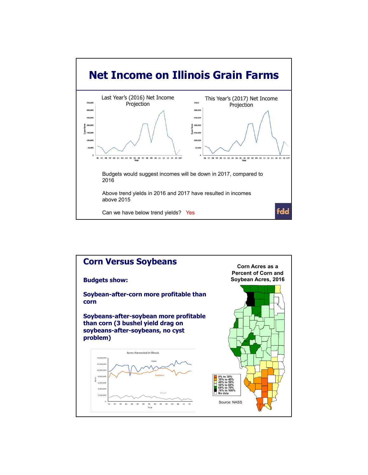

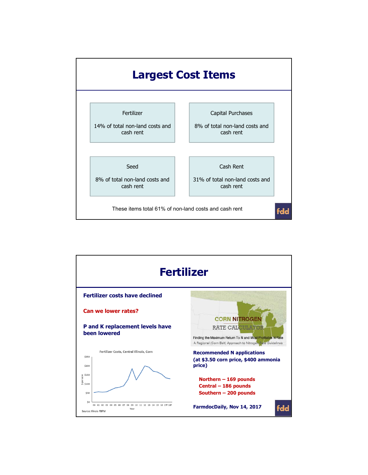

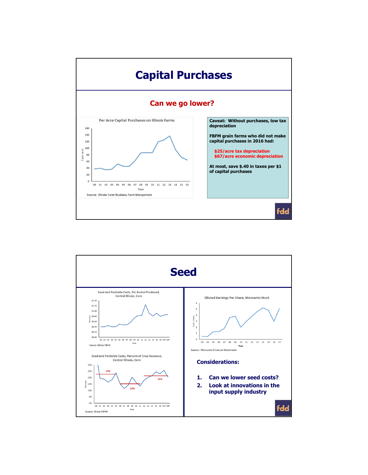

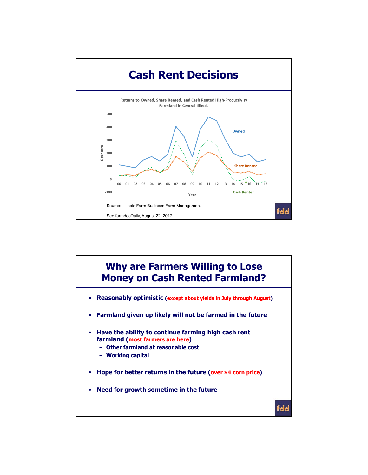

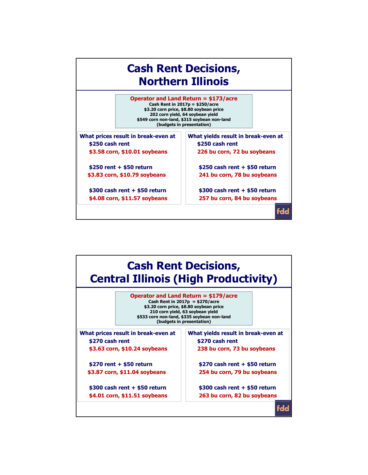

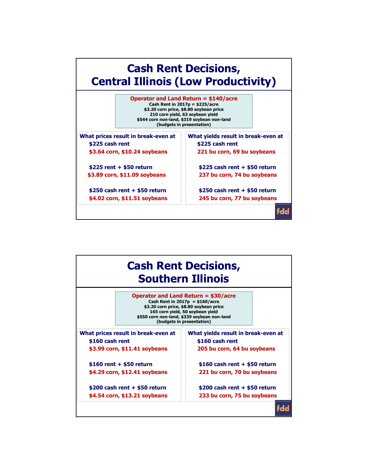

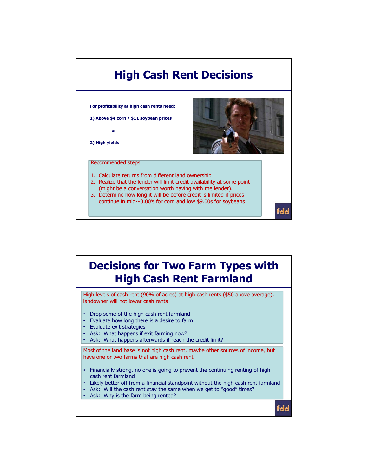